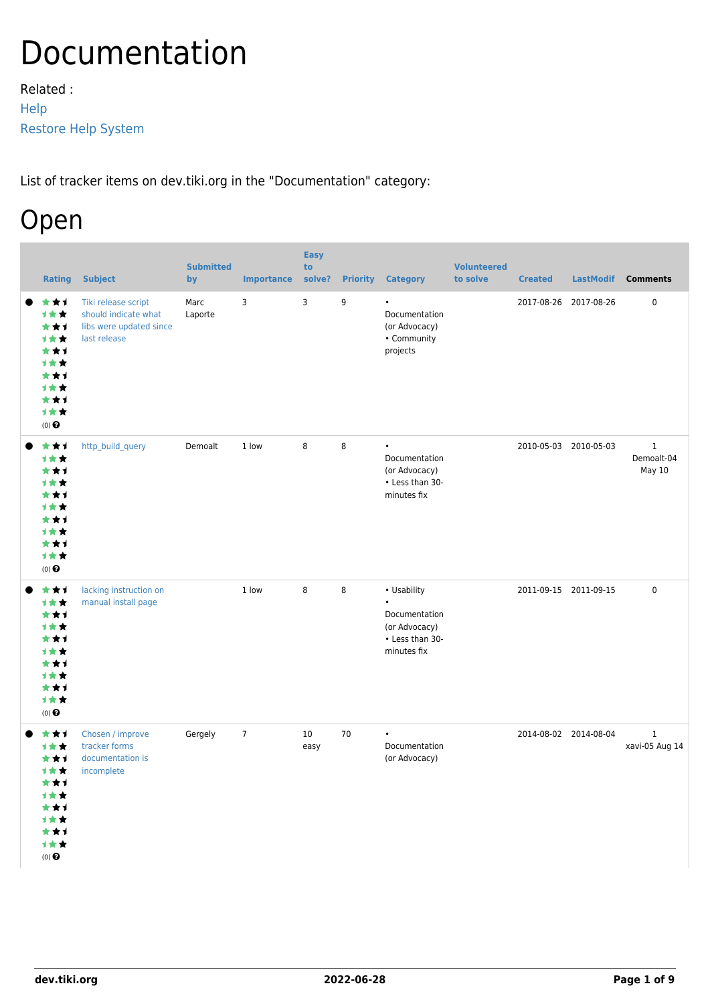# Documentation

Related : [Help](https://dev.tiki.org/Help) [Restore Help System](http://doc.tiki.org/Restore%20Help%20System)

List of tracker items on dev.tiki.org in the "Documentation" category:

## Open

| <b>Rating</b>                                                                                     | <b>Subject</b>                                                                         | <b>Submitted</b><br>by | <b>Importance</b> | <b>Easy</b><br>to<br>solve? | <b>Priority</b> | <b>Category</b>                                                                              | <b>Volunteered</b><br>to solve | <b>Created</b>        | <b>LastModif</b>      | <b>Comments</b>                      |
|---------------------------------------------------------------------------------------------------|----------------------------------------------------------------------------------------|------------------------|-------------------|-----------------------------|-----------------|----------------------------------------------------------------------------------------------|--------------------------------|-----------------------|-----------------------|--------------------------------------|
| ***<br>1★★<br>***<br>1★★<br>***<br>计女女<br>***<br>计女女<br>***<br>1★★<br>$(0)$ $\odot$               | Tiki release script<br>should indicate what<br>libs were updated since<br>last release | Marc<br>Laporte        | 3                 | 3                           | 9               | $\bullet$<br>Documentation<br>(or Advocacy)<br>• Community<br>projects                       |                                | 2017-08-26 2017-08-26 |                       | 0                                    |
| ***<br>1★★<br>***<br>计女女<br>***<br><b>1**</b><br>***<br><b>1**</b><br>***<br>计女女<br>$(0)$ $\odot$ | http_build_query                                                                       | Demoalt                | 1 low             | 8                           | 8               | $\bullet$<br>Documentation<br>(or Advocacy)<br>• Less than 30-<br>minutes fix                |                                | 2010-05-03 2010-05-03 |                       | $\mathbf{1}$<br>Demoalt-04<br>May 10 |
| ***<br>1★★<br>***<br><b>1**</b><br>***<br>计女女<br>***<br>计女女<br>***<br>1★★<br>$(0)$ $\odot$        | lacking instruction on<br>manual install page                                          |                        | 1 low             | 8                           | 8               | • Usability<br>$\bullet$<br>Documentation<br>(or Advocacy)<br>• Less than 30-<br>minutes fix |                                | 2011-09-15 2011-09-15 |                       | $\pmb{0}$                            |
| ***<br>计女女<br>***<br>计女女<br>***<br>计女女<br>***<br>1★★<br>***<br>1★★<br>(0) $\pmb{\Theta}$          | Chosen / improve<br>tracker forms<br>documentation is<br>incomplete                    | Gergely                | $7\phantom{.0}$   | 10<br>easy                  | 70              | $\bullet$<br>Documentation<br>(or Advocacy)                                                  |                                |                       | 2014-08-02 2014-08-04 | $\mathbf{1}$<br>xavi-05 Aug 14       |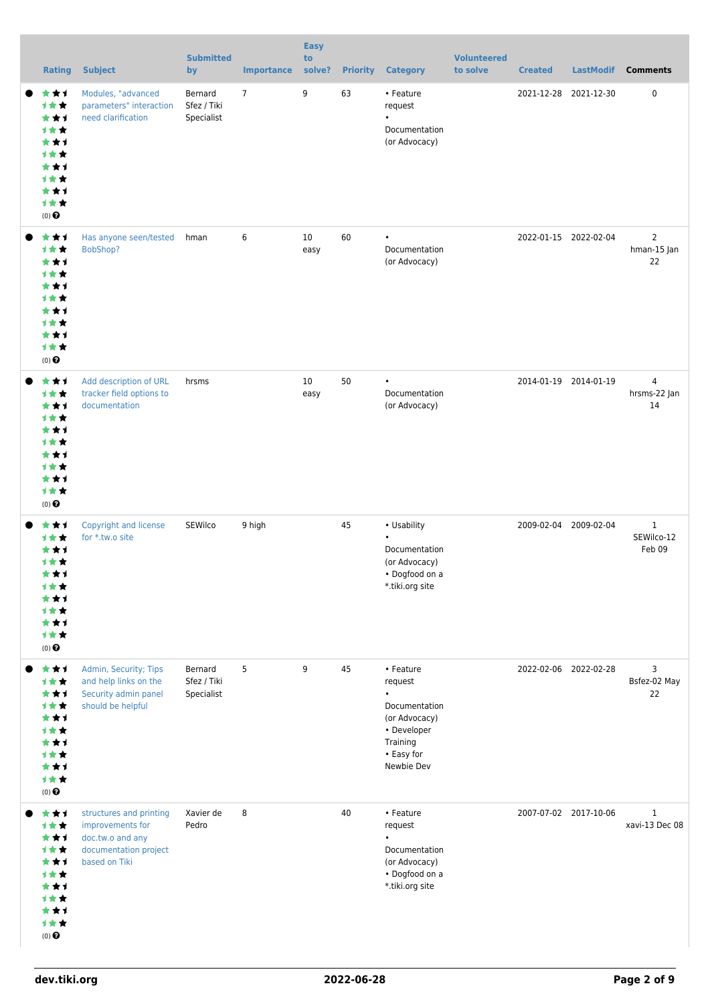| <b>Rating</b>                                                                                             | <b>Subject</b>                                                                                            | <b>Submitted</b><br>by               | <b>Importance</b> | <b>Easy</b><br>to<br>solve? | <b>Priority</b> | <b>Category</b>                                                                                                            | <b>Volunteered</b><br>to solve | <b>Created</b>        | <b>LastModif</b>      | <b>Comments</b>                      |
|-----------------------------------------------------------------------------------------------------------|-----------------------------------------------------------------------------------------------------------|--------------------------------------|-------------------|-----------------------------|-----------------|----------------------------------------------------------------------------------------------------------------------------|--------------------------------|-----------------------|-----------------------|--------------------------------------|
| ***<br>计女女<br>***<br><b>1**</b><br>***<br><b>1**</b><br>***<br><b>1**</b><br>***<br>1★★<br>$(0)$ $\Theta$ | Modules, "advanced<br>parameters" interaction<br>need clarification                                       | Bernard<br>Sfez / Tiki<br>Specialist | $7\overline{ }$   | 9                           | 63              | • Feature<br>request<br>$\bullet$<br>Documentation<br>(or Advocacy)                                                        |                                |                       | 2021-12-28 2021-12-30 | $\mathbf 0$                          |
| ***<br><b>1**</b><br>***<br><b>1**</b><br>***<br>1★★<br>***<br><b>1**</b><br>***<br>计女女<br>$(0)$ $\odot$  | Has anyone seen/tested<br>BobShop?                                                                        | hman                                 | 6                 | 10<br>easy                  | 60              | $\bullet$<br>Documentation<br>(or Advocacy)                                                                                |                                |                       | 2022-01-15 2022-02-04 | $\overline{2}$<br>hman-15 Jan<br>22  |
| ***<br>计女女<br>***<br><b>1**</b><br>***<br><b>1**</b><br>***<br><b>1**</b><br>***<br>计女女<br>$(0)$ $\odot$  | Add description of URL<br>tracker field options to<br>documentation                                       | hrsms                                |                   | 10<br>easy                  | 50              | $\bullet$<br>Documentation<br>(or Advocacy)                                                                                |                                | 2014-01-19 2014-01-19 |                       | $\overline{4}$<br>hrsms-22 Jan<br>14 |
| ***<br><b>1**</b><br>***<br><b>1**</b><br>***<br>计女女<br>***<br><b>1**</b><br>***<br>计女女<br>$(0)$ $\odot$  | Copyright and license<br>for *.tw.o site                                                                  | SEWilco                              | 9 high            |                             | 45              | • Usability<br>$\bullet$<br>Documentation<br>(or Advocacy)<br>• Dogfood on a<br>*.tiki.org site                            |                                |                       | 2009-02-04 2009-02-04 | $\mathbf{1}$<br>SEWilco-12<br>Feb 09 |
| ***<br>1**<br>***<br>1★★<br>***<br><b>1**</b><br>***<br><b>1**</b><br>***<br>计女女<br>$(0)$ $\odot$         | Admin, Security; Tips<br>and help links on the<br>Security admin panel<br>should be helpful               | Bernard<br>Sfez / Tiki<br>Specialist | 5                 | 9                           | 45              | • Feature<br>request<br>$\bullet$<br>Documentation<br>(or Advocacy)<br>• Developer<br>Training<br>• Easy for<br>Newbie Dev |                                |                       | 2022-02-06 2022-02-28 | 3<br>Bsfez-02 May<br>22              |
| ***<br><b>1**</b><br>***<br><b>1**</b><br>***<br>计女女<br>***<br><b>1**</b><br>***<br>计女女<br>$(0)$ $\odot$  | structures and printing<br>improvements for<br>doc.tw.o and any<br>documentation project<br>based on Tiki | Xavier de<br>Pedro                   | 8                 |                             | 40              | • Feature<br>request<br>$\bullet$<br>Documentation<br>(or Advocacy)<br>• Dogfood on a<br>*.tiki.org site                   |                                | 2007-07-02 2017-10-06 |                       | $\mathbf{1}$<br>xavi-13 Dec 08       |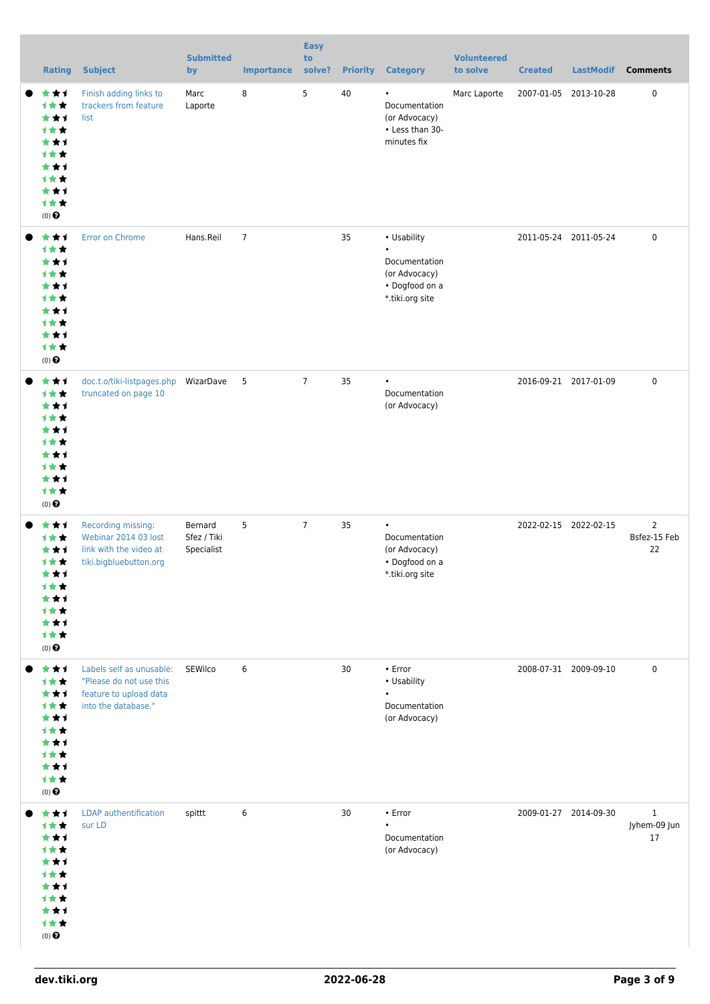| <b>Rating</b>                                                                                     | <b>Subject</b>                                                                                       | <b>Submitted</b><br>by               | <b>Importance</b> | <b>Easy</b><br>to<br>solve? | <b>Priority</b> | <b>Category</b>                                                                                 | <b>Volunteered</b><br>to solve | <b>Created</b>        | <b>LastModif</b> | <b>Comments</b>                      |
|---------------------------------------------------------------------------------------------------|------------------------------------------------------------------------------------------------------|--------------------------------------|-------------------|-----------------------------|-----------------|-------------------------------------------------------------------------------------------------|--------------------------------|-----------------------|------------------|--------------------------------------|
| ***<br>1★★<br>***<br>1★★<br>***<br><b>1**</b><br>***<br><b>1**</b><br>***<br>1★★<br>$(0)$ $\odot$ | Finish adding links to<br>trackers from feature<br>list                                              | Marc<br>Laporte                      | 8                 | 5                           | 40              | $\bullet$<br>Documentation<br>(or Advocacy)<br>• Less than 30-<br>minutes fix                   | Marc Laporte                   | 2007-01-05 2013-10-28 |                  | $\mathbf 0$                          |
| ***<br>1★★<br>***<br>计女女<br>***<br><b>1**</b><br>***<br>计女女<br>***<br>1★★<br>$(0)$ $\odot$        | Error on Chrome                                                                                      | Hans.Reil                            | $\overline{7}$    |                             | 35              | • Usability<br>$\bullet$<br>Documentation<br>(or Advocacy)<br>• Dogfood on a<br>*.tiki.org site |                                | 2011-05-24 2011-05-24 |                  | $\mathbf 0$                          |
| ***<br>1★★<br>***<br><b>1**</b><br>***<br><b>1**</b><br>***<br>计女女<br>***<br>1★★<br>$(0)$ $\odot$ | doc.t.o/tiki-listpages.php<br>truncated on page 10                                                   | WizarDave                            | 5                 | $\overline{7}$              | 35              | $\bullet$<br>Documentation<br>(or Advocacy)                                                     |                                | 2016-09-21 2017-01-09 |                  | $\mathbf 0$                          |
| ***<br>计女女<br>***<br>计女女<br>***<br>计女女<br>***<br><b>1**</b><br>***<br>计女女<br>$(0)$ $\odot$        | Recording missing:<br>Webinar 2014 03 lost<br>link with the video at<br>tiki.bigbluebutton.org       | Bernard<br>Sfez / Tiki<br>Specialist | 5                 | $\overline{7}$              | 35              | $\bullet$<br>Documentation<br>(or Advocacy)<br>• Dogfood on a<br>*.tiki.org site                |                                | 2022-02-15 2022-02-15 |                  | $\overline{2}$<br>Bsfez-15 Feb<br>22 |
| ***<br>1★★<br>***<br><b>1**</b><br>***<br>计女女<br>***<br><b>1**</b><br>***<br>计女女<br>$(0)$ $\odot$ | Labels self as unusable:<br>"Please do not use this<br>feature to upload data<br>into the database." | SEWilco                              | 6                 |                             | 30              | $\cdot$ Error<br>• Usability<br>$\bullet$<br>Documentation<br>(or Advocacy)                     |                                | 2008-07-31 2009-09-10 |                  | 0                                    |
| ***<br>计女女<br>***<br>1★★<br>***<br>计女女<br>***<br>计女女<br>***<br>计女女<br>$(0)$ $\odot$               | <b>LDAP</b> authentification<br>sur LD                                                               | spittt                               | 6                 |                             | 30              | • Error<br>Documentation<br>(or Advocacy)                                                       |                                | 2009-01-27 2014-09-30 |                  | $\mathbf{1}$<br>Jyhem-09 Jun<br>17   |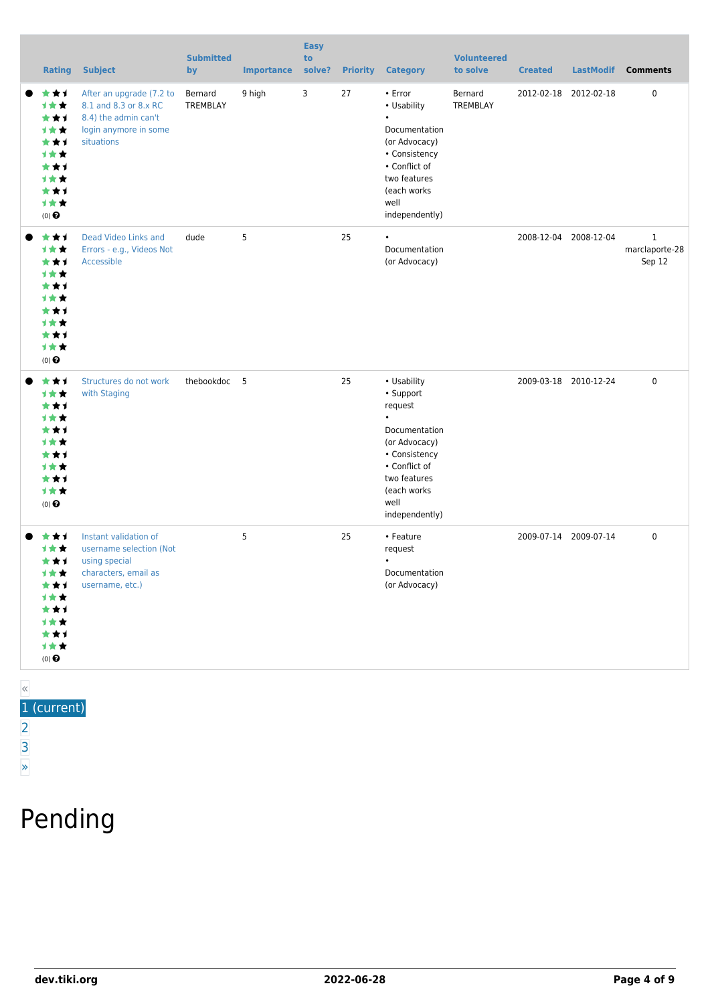| <b>Rating</b>                                                                                                                  | <b>Subject</b>                                                                                                   | <b>Submitted</b><br>by | <b>Importance</b> | <b>Easy</b><br>to<br>solve? | <b>Priority</b> | <b>Category</b>                                                                                                                                                               | <b>Volunteered</b><br>to solve | <b>Created</b>        | <b>LastModif</b> | <b>Comments</b>                          |
|--------------------------------------------------------------------------------------------------------------------------------|------------------------------------------------------------------------------------------------------------------|------------------------|-------------------|-----------------------------|-----------------|-------------------------------------------------------------------------------------------------------------------------------------------------------------------------------|--------------------------------|-----------------------|------------------|------------------------------------------|
| ***<br>1★★<br>***<br><b>1**</b><br>***<br><b>1**</b><br>***<br><b>1**</b><br>***<br>1★★<br>(0)                                 | After an upgrade (7.2 to<br>8.1 and 8.3 or 8.x RC<br>8.4) the admin can't<br>login anymore in some<br>situations | Bernard<br>TREMBLAY    | 9 high            | 3                           | 27              | • Error<br>• Usability<br>$\bullet$<br>Documentation<br>(or Advocacy)<br>• Consistency<br>• Conflict of<br>two features<br>(each works<br>well<br>independently)              | Bernard<br>TREMBLAY            | 2012-02-18 2012-02-18 |                  | 0                                        |
| ***<br>计女女<br>***<br><b>1**</b><br>***<br><b>1**</b><br>***<br><b>1**</b><br>***<br>1★★<br>$(0)$ <sup><math>\odot</math></sup> | Dead Video Links and<br>Errors - e.g., Videos Not<br>Accessible                                                  | dude                   | 5                 |                             | 25              | $\bullet$<br>Documentation<br>(or Advocacy)                                                                                                                                   |                                | 2008-12-04 2008-12-04 |                  | $\mathbf{1}$<br>marclaporte-28<br>Sep 12 |
| ***<br><b>1**</b><br>***<br><b>1**</b><br>***<br>计女女<br>***<br><b>1**</b><br>***<br>1★★<br>$(0)$ <sup><math>\odot</math></sup> | Structures do not work<br>with Staging                                                                           | thebookdoc 5           |                   |                             | 25              | • Usability<br>• Support<br>request<br>$\bullet$<br>Documentation<br>(or Advocacy)<br>• Consistency<br>• Conflict of<br>two features<br>(each works<br>well<br>independently) |                                | 2009-03-18 2010-12-24 |                  | 0                                        |
| ***<br>1 * *<br>***<br>1★★<br>★★1<br>计女女<br>***<br>计女女<br>***<br>计女女<br>$(0)$ $\odot$                                          | Instant validation of<br>username selection (Not<br>using special<br>characters, email as<br>username, etc.)     |                        | 5                 |                             | 25              | • Feature<br>request<br>$\bullet$<br>Documentation<br>(or Advocacy)                                                                                                           |                                | 2009-07-14 2009-07-14 |                  | 0                                        |

#### « 1 (current)

- [2](https://dev.tiki.org/tiki-print.php?page=Documentation&tr_offset1=20)
- [3](https://dev.tiki.org/tiki-print.php?page=Documentation&tr_offset1=40)
- [»](https://dev.tiki.org/tiki-print.php?page=Documentation&tr_offset1=20)

# Pending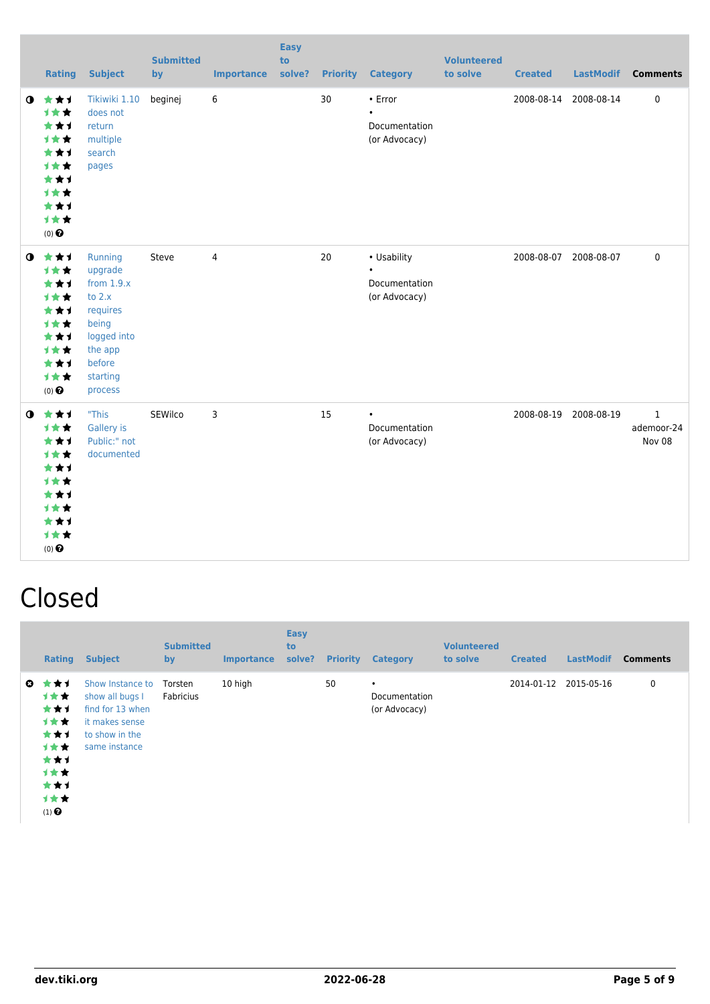|             | <b>Rating</b>                                                                                                   | <b>Subject</b>                                                                                                                 | <b>Submitted</b><br>$bv$ | <b>Importance</b> | <b>Easy</b><br>to<br>solve? |    | <b>Priority Category</b>                                     | <b>Volunteered</b><br>to solve | <b>Created</b> | <b>LastModif</b>      | <b>Comments</b>           |
|-------------|-----------------------------------------------------------------------------------------------------------------|--------------------------------------------------------------------------------------------------------------------------------|--------------------------|-------------------|-----------------------------|----|--------------------------------------------------------------|--------------------------------|----------------|-----------------------|---------------------------|
| $\mathbf o$ | 女女子<br>1★★<br>***<br><b>1**</b><br>***<br><b>1**</b><br>***<br><b>1**</b><br>***<br>1★★<br>$(0)$ $\odot$        | Tikiwiki 1.10<br>does not<br>return<br>multiple<br>search<br>pages                                                             | beginej                  | 6                 |                             | 30 | $\cdot$ Error<br>$\bullet$<br>Documentation<br>(or Advocacy) |                                | 2008-08-14     | 2008-08-14            | 0                         |
| $\bullet$   | 大女子<br>1★★<br>***<br>1★★<br>***<br><b>1**</b><br>***<br><b>1**</b><br>***<br>1★★<br>$(0)$ $\odot$               | Running<br>upgrade<br>from $1.9.x$<br>to $2.x$<br>requires<br>being<br>logged into<br>the app<br>before<br>starting<br>process | Steve                    | $\overline{4}$    |                             | 20 | • Usability<br>$\bullet$<br>Documentation<br>(or Advocacy)   |                                |                | 2008-08-07 2008-08-07 | $\mathbf 0$               |
| $\mathbf o$ | 女女子<br>→★★<br>***<br><b>1**</b><br>***<br><b>1**</b><br>***<br><b>1**</b><br>***<br><b>1**</b><br>$(0)$ $\odot$ | "This<br>Gallery is<br>Public:" not<br>documented                                                                              | SEWilco                  | 3                 |                             | 15 | $\bullet$<br>Documentation<br>(or Advocacy)                  |                                | 2008-08-19     | 2008-08-19            | 1<br>ademoor-24<br>Nov 08 |

### Closed

|                   | <b>Rating</b>                                                                        | <b>Subject</b>                                                                                               | <b>Submitted</b><br>by | <b>Importance</b> | <b>Easy</b><br>to<br>solve? | <b>Priority</b> | <b>Category</b>                             | <b>Volunteered</b><br>to solve | <b>Created</b> | <b>LastModif</b> | <b>Comments</b> |
|-------------------|--------------------------------------------------------------------------------------|--------------------------------------------------------------------------------------------------------------|------------------------|-------------------|-----------------------------|-----------------|---------------------------------------------|--------------------------------|----------------|------------------|-----------------|
| $\mathbf{\Omega}$ | ***<br>1女女:<br>***<br>1★★<br>***<br>1★★<br>***<br>计女女<br>***<br>计女女<br>$(1)$ $\odot$ | Show Instance to<br>show all bugs I<br>find for 13 when<br>it makes sense<br>to show in the<br>same instance | Torsten<br>Fabricius   | 10 high           |                             | 50              | $\bullet$<br>Documentation<br>(or Advocacy) |                                | 2014-01-12     | 2015-05-16       | 0               |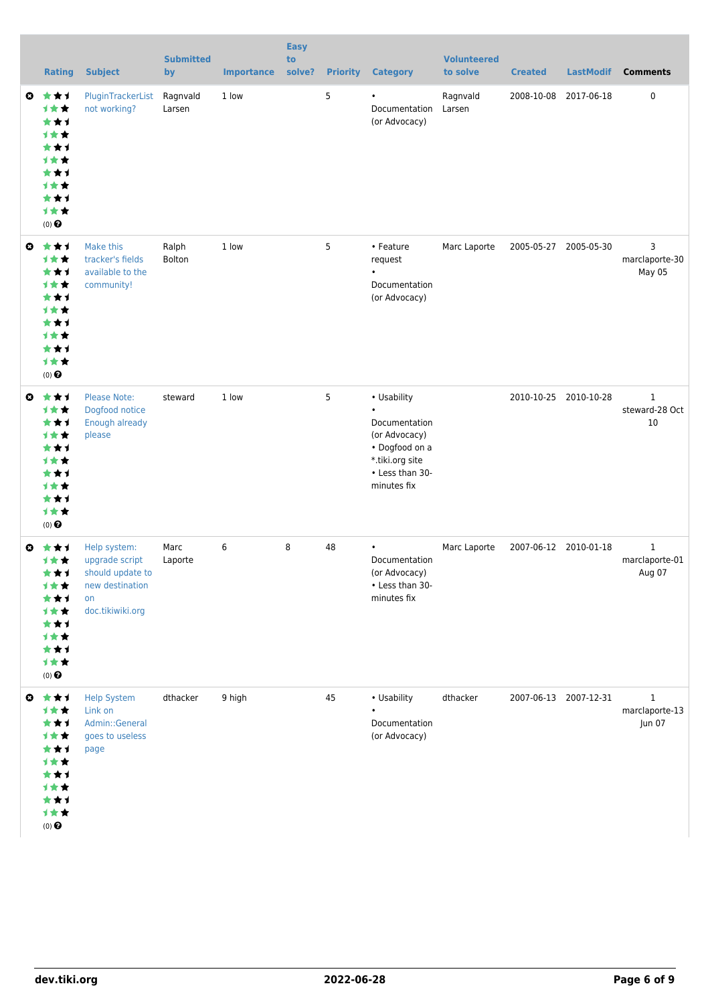|                       | <b>Rating</b>                                                                                                   | <b>Subject</b>                                                                                  | <b>Submitted</b><br>by | <b>Importance</b> | <b>Easy</b><br>to<br>solve? |    | <b>Priority Category</b>                                                                                                          | <b>Volunteered</b><br>to solve | <b>Created</b> | <b>LastModif</b>      | <b>Comments</b>                          |
|-----------------------|-----------------------------------------------------------------------------------------------------------------|-------------------------------------------------------------------------------------------------|------------------------|-------------------|-----------------------------|----|-----------------------------------------------------------------------------------------------------------------------------------|--------------------------------|----------------|-----------------------|------------------------------------------|
| $\boldsymbol{\Theta}$ | ***<br>1★★<br>***<br><b>1**</b><br>***<br><b>1**</b><br>***<br><b>1**</b><br>***<br>才女女<br>$(0)$ $\odot$        | PluginTrackerList<br>not working?                                                               | Ragnvald<br>Larsen     | 1 low             |                             | 5  | $\bullet$<br>Documentation<br>(or Advocacy)                                                                                       | Ragnvald<br>Larsen             | 2008-10-08     | 2017-06-18            | 0                                        |
| $\boldsymbol{\Theta}$ | ***<br><b>1**</b><br>***<br><b>1**</b><br>***<br><b>1**</b><br>***<br><b>1**</b><br>***<br>才女女<br>$(0)$ $\odot$ | Make this<br>tracker's fields<br>available to the<br>community!                                 | Ralph<br>Bolton        | 1 low             |                             | 5  | • Feature<br>request<br>Documentation<br>(or Advocacy)                                                                            | Marc Laporte                   |                | 2005-05-27 2005-05-30 | 3<br>marclaporte-30<br>May 05            |
| $\boldsymbol{\omega}$ | ***<br><b>1★★</b><br>***<br>才女女<br>★★1<br><b>1**</b><br>***<br><b>1**</b><br>***<br>计女女<br>$(0)$ $\odot$        | <b>Please Note:</b><br>Dogfood notice<br>Enough already<br>please                               | steward                | 1 low             |                             | 5  | • Usability<br>$\bullet$<br>Documentation<br>(or Advocacy)<br>• Dogfood on a<br>*.tiki.org site<br>• Less than 30-<br>minutes fix |                                |                | 2010-10-25 2010-10-28 | $\mathbf{1}$<br>steward-28 Oct<br>10     |
| Ø                     | ***<br>计女女<br>***<br>计女女<br>***<br>计女女<br>***<br>计女女<br>***<br>计女女<br>$(0)$ $\odot$                             | Help system:<br>upgrade script<br>should update to<br>new destination<br>on<br>doc.tikiwiki.org | Marc<br>Laporte        | 6                 | 8                           | 48 | $\bullet$<br>Documentation<br>(or Advocacy)<br>• Less than 30-<br>minutes fix                                                     | Marc Laporte                   |                | 2007-06-12 2010-01-18 | $\mathbf{1}$<br>marclaporte-01<br>Aug 07 |
| $\boldsymbol{\Theta}$ | 大大士<br>计女女<br>***<br>才女女<br>★★1<br>计女女<br>★★1<br>1★★<br>***<br>计女女<br>$(0)$ $\bigodot$                          | <b>Help System</b><br>Link on<br>Admin::General<br>goes to useless<br>page                      | dthacker               | 9 high            |                             | 45 | • Usability<br>Documentation<br>(or Advocacy)                                                                                     | dthacker                       |                | 2007-06-13 2007-12-31 | $\mathbf{1}$<br>marclaporte-13<br>Jun 07 |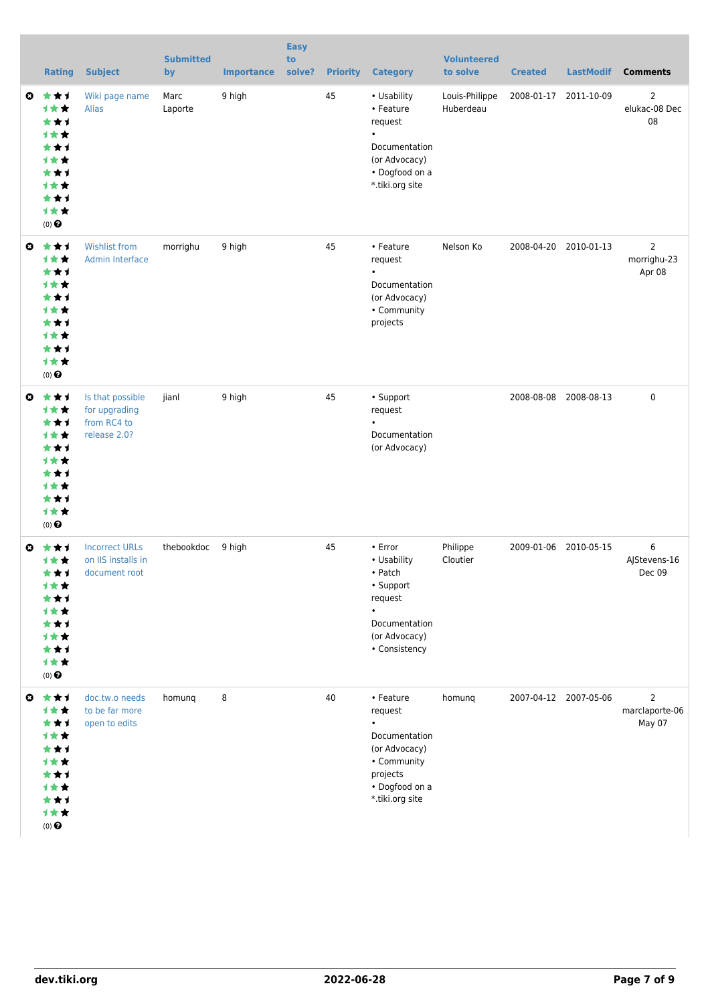| <b>Rating</b>                                                                                                                                  | <b>Subject</b>                                                   | <b>Submitted</b><br>by | <b>Importance</b> | <b>Easy</b><br>to<br>solve? | <b>Priority</b> | <b>Category</b>                                                                                                                     | <b>Volunteered</b><br>to solve | <b>Created</b>        | <b>LastModif</b>      | <b>Comments</b>                            |
|------------------------------------------------------------------------------------------------------------------------------------------------|------------------------------------------------------------------|------------------------|-------------------|-----------------------------|-----------------|-------------------------------------------------------------------------------------------------------------------------------------|--------------------------------|-----------------------|-----------------------|--------------------------------------------|
| $\boldsymbol{\omega}$<br>***<br><b>1**</b><br>***<br><b>1**</b><br>*1<br>*<br><b>1**</b><br>* 1<br><b>1 * *</b><br>***<br>1★★<br>$(0)$ $\odot$ | Wiki page name<br><b>Alias</b>                                   | Marc<br>Laporte        | 9 high            |                             | 45              | • Usability<br>• Feature<br>request<br>$\bullet$<br>Documentation<br>(or Advocacy)<br>• Dogfood on a<br>*.tiki.org site             | Louis-Philippe<br>Huberdeau    | 2008-01-17            | 2011-10-09            | $\overline{2}$<br>elukac-08 Dec<br>08      |
| ***<br>Ø<br><b>1**</b><br>***<br><b>1**</b><br>*1<br>*<br><b>1**</b><br>***<br><b>1 * *</b><br>***<br>计女女<br>$(0)$ $\odot$                     | <b>Wishlist from</b><br><b>Admin Interface</b>                   | morrighu               | 9 high            |                             | 45              | • Feature<br>request<br>Documentation<br>(or Advocacy)<br>• Community<br>projects                                                   | Nelson Ko                      | 2008-04-20 2010-01-13 |                       | $\overline{2}$<br>morrighu-23<br>Apr 08    |
| €<br>***<br><b>1★★</b><br>***<br><b>1**</b><br>★★1<br><b>1**</b><br>***<br><b>1**</b><br>***<br>1★★<br>$(0)$ $\odot$                           | Is that possible<br>for upgrading<br>from RC4 to<br>release 2.0? | jianl                  | 9 high            |                             | 45              | • Support<br>request<br>$\bullet$<br>Documentation<br>(or Advocacy)                                                                 |                                | 2008-08-08            | 2008-08-13            | $\mathbf 0$                                |
| ***<br>Ø<br>计女女<br>★★↑<br><b>1**</b><br>***<br><b>1**</b><br>***<br><b>1**</b><br>***<br>计女女<br>$(0)$ $\odot$                                  | <b>Incorrect URLs</b><br>on IIS installs in<br>document root     | thebookdoc             | 9 high            |                             | 45              | • Error<br>• Usability<br>• Patch<br>• Support<br>request<br>Documentation<br>(or Advocacy)<br>• Consistency                        | Philippe<br>Cloutier           | 2009-01-06            | 2010-05-15            | 6<br>AJStevens-16<br>Dec 09                |
| €<br>***<br>计女女<br>*1<br>*<br>1 * *<br>*1<br><b>1**</b><br>*1<br><b>1**</b><br>★★1<br>计女女<br>$(0)$ $\Theta$                                    | doc.tw.o needs<br>to be far more<br>open to edits                | homunq                 | 8                 |                             | 40              | • Feature<br>request<br>$\bullet$<br>Documentation<br>(or Advocacy)<br>• Community<br>projects<br>• Dogfood on a<br>*.tiki.org site | homunq                         |                       | 2007-04-12 2007-05-06 | $\overline{2}$<br>marclaporte-06<br>May 07 |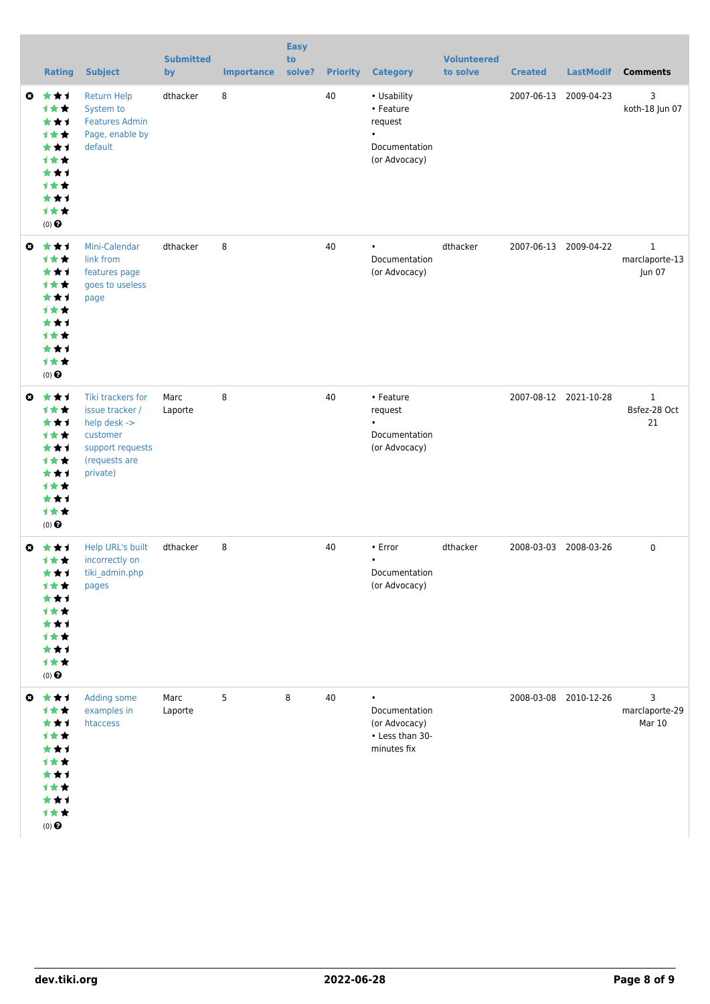|              | <b>Rating</b>                                                                                                   | <b>Subject</b>                                                                                                    | <b>Submitted</b><br>by | <b>Importance</b> | <b>Easy</b><br>to<br>solve? |    | <b>Priority Category</b>                                              | <b>Volunteered</b><br>to solve | <b>Created</b> | <b>LastModif</b>      | <b>Comments</b>                          |
|--------------|-----------------------------------------------------------------------------------------------------------------|-------------------------------------------------------------------------------------------------------------------|------------------------|-------------------|-----------------------------|----|-----------------------------------------------------------------------|--------------------------------|----------------|-----------------------|------------------------------------------|
| $\mathbf{o}$ | 大女子<br>计女女<br>***<br><b>1**</b><br>***<br><b>1**</b><br>***<br><b>1**</b><br>★★1<br>计女女<br>$(0)$ $\odot$        | <b>Return Help</b><br>System to<br><b>Features Admin</b><br>Page, enable by<br>default                            | dthacker               | 8                 |                             | 40 | • Usability<br>• Feature<br>request<br>Documentation<br>(or Advocacy) |                                |                | 2007-06-13 2009-04-23 | 3<br>koth-18 Jun 07                      |
| €            | ***<br><b>1★★</b><br>★★↑<br><b>1**</b><br>***<br><b>1**</b><br>***<br><b>1**</b><br>***<br>1★★<br>$(0)$ $\odot$ | Mini-Calendar<br>link from<br>features page<br>goes to useless<br>page                                            | dthacker               | 8                 |                             | 40 | $\bullet$<br>Documentation<br>(or Advocacy)                           | dthacker                       |                | 2007-06-13 2009-04-22 | $\mathbf{1}$<br>marclaporte-13<br>Jun 07 |
| $\bullet$    | ***<br><b>1★★</b><br>★★1<br>1★★<br>***<br><b>1**</b><br>★★1<br><b>1**</b><br>***<br>1★★<br>$(0)$ $\odot$        | Tiki trackers for<br>issue tracker /<br>help desk -><br>customer<br>support requests<br>(requests are<br>private) | Marc<br>Laporte        | 8                 |                             | 40 | • Feature<br>request<br>Documentation<br>(or Advocacy)                |                                |                | 2007-08-12 2021-10-28 | $\mathbf{1}$<br>Bsfez-28 Oct<br>21       |
| Ø            | ***<br>计女女<br>***<br>计女女<br>***<br>计女女<br>***<br>1★★<br>***<br>计女女<br>$(0)$ $\odot$                             | Help URL's built<br>incorrectly on<br>tiki_admin.php<br>pages                                                     | dthacker               | 8                 |                             | 40 | • Error<br>$\bullet$<br>Documentation<br>(or Advocacy)                | dthacker                       |                | 2008-03-03 2008-03-26 | 0                                        |
| ◎            | 女女士<br>计女女<br>***<br>计女女<br>***<br>才女女<br>★★1<br>计女女<br>***<br>计女女<br>(0) $\pmb{\Theta}$                        | Adding some<br>examples in<br>htaccess                                                                            | Marc<br>Laporte        | 5                 | 8                           | 40 | Documentation<br>(or Advocacy)<br>• Less than 30-<br>minutes fix      |                                |                | 2008-03-08 2010-12-26 | 3<br>marclaporte-29<br>Mar 10            |